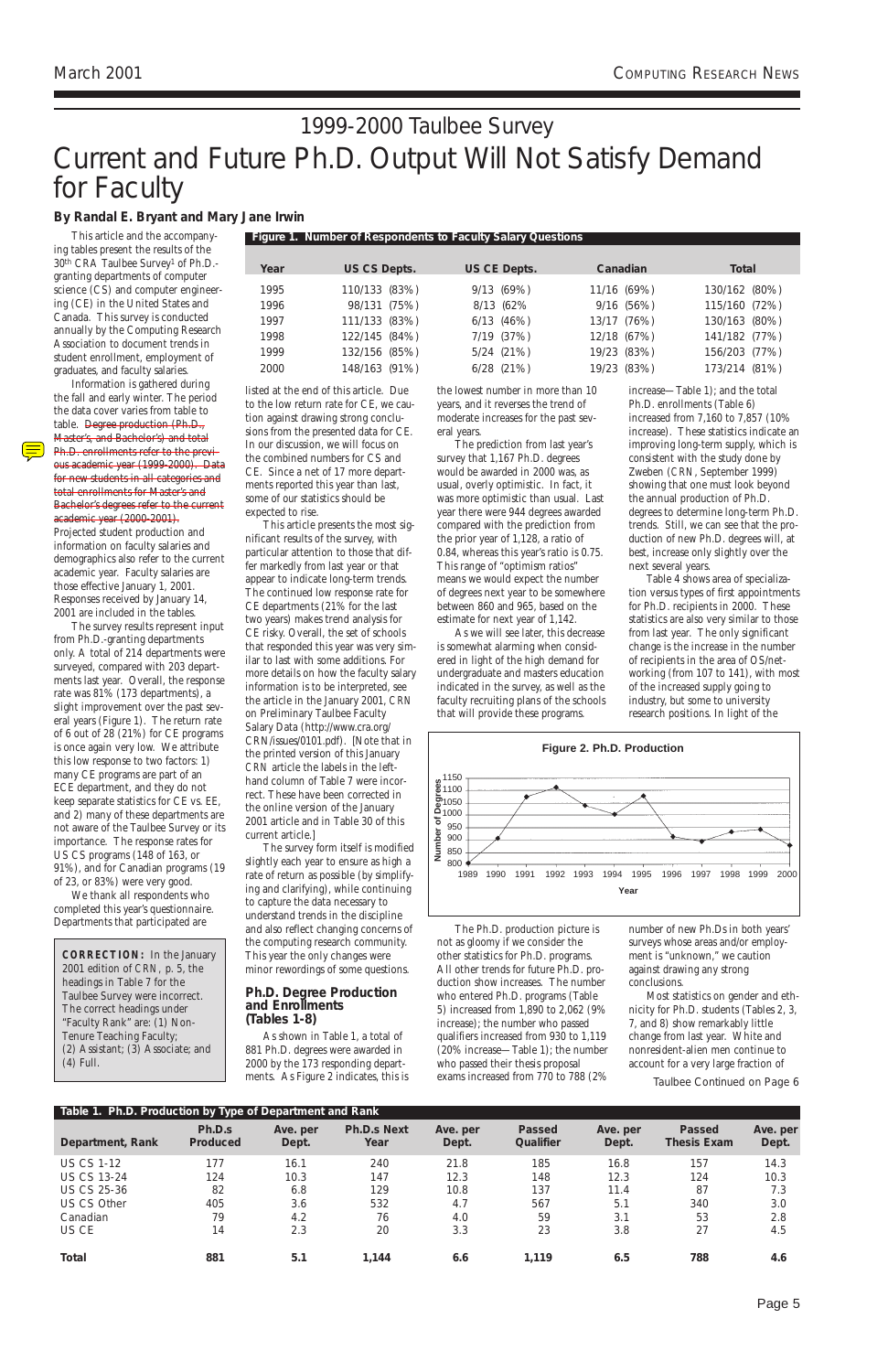#### **By Randal E. Bryant and Mary Jane Irwin**

This article and the accompanying tables present the results of the 30th CRA Taulbee Survey1 of Ph.D. granting departments of computer science (CS) and computer engineering (CE) in the United States and Canada. This survey is conducted annually by the Computing Research Association to document trends in student enrollment, employment of graduates, and faculty salaries.

Information is gathered during the fall and early winter. The period the data cover varies from table to table. Degree production (Ph.D., Master's, and Bachelor's) and total Ph.D. enrollments refer to the previous academic year (1999-2000). Data for new students in all categories and total enrollments for Master's and Bachelor's degrees refer to the current academic year (2000-2001).

Projected student production and information on faculty salaries and demographics also refer to the current academic year. Faculty salaries are those effective January 1, 2001. Responses received by January 14, 2001 are included in the tables.

The survey results represent input from Ph.D.-granting departments only. A total of 214 departments were surveyed, compared with 203 departments last year. Overall, the response rate was 81% (173 departments), a slight improvement over the past several years (Figure 1). The return rate of 6 out of 28 (21%) for CE programs is once again very low. We attribute this low response to two factors: 1) many CE programs are part of an ECE department, and they do not keep separate statistics for CE vs. EE, and 2) many of these departments are not aware of the Taulbee Survey or its importance. The response rates for US CS programs (148 of 163, or 91%), and for Canadian programs (19 of 23, or 83%) were very good.

We thank all respondents who completed this year's questionnaire. Departments that participated are

listed at the end of this article. Due to the low return rate for CE, we caution against drawing strong conclusions from the presented data for CE. In our discussion, we will focus on the combined numbers for CS and CE. Since a net of 17 more departments reported this year than last, some of our statistics should be expected to rise.

This article presents the most significant results of the survey, with particular attention to those that differ markedly from last year or that appear to indicate long-term trends. The continued low response rate for CE departments (21% for the last two years) makes trend analysis for CE risky. Overall, the set of schools that responded this year was very similar to last with some additions. For more details on how the faculty salary information is to be interpreted, see the article in the January 2001, *CRN* on Preliminary Taulbee Faculty Salary Data (http://www.cra.org/ CRN/issues/0101.pdf). [Note that in the printed version of this January *CRN* article the labels in the lefthand column of Table 7 were incorrect. These have been corrected in the online version of the January 2001 article and in Table 30 of this current article.]

# Current and Future Ph.D. Output Will Not Satisfy Demand for Faculty 1999-2000 Taulbee Survey

The survey form itself is modified slightly each year to ensure as high a rate of return as possible (by simplifying and clarifying), while continuing to capture the data necessary to understand trends in the discipline and also reflect changing concerns of the computing research community. This year the only changes were minor rewordings of some questions.

#### **Ph.D. Degree Production and Enrollments**

*(Tables 1-8)*

As shown in Table 1, a total of 881 Ph.D. degrees were awarded in 2000 by the 173 responding departments. As Figure 2 indicates, this is

the lowest number in more than 10 years, and it reverses the trend of moderate increases for the past several years.

The prediction from last year's survey that 1,167 Ph.D. degrees would be awarded in 2000 was, as usual, overly optimistic. In fact, it was more optimistic than usual. Last year there were 944 degrees awarded compared with the prediction from the prior year of 1,128, a ratio of 0.84, whereas this year's ratio is 0.75. This range of "optimism ratios" means we would expect the number of degrees next year to be somewhere between 860 and 965, based on the estimate for next year of 1,142.

As we will see later, this decrease is somewhat alarming when considered in light of the high demand for undergraduate and masters education indicated in the survey, as well as the faculty recruiting plans of the schools that will provide these programs.

The Ph.D. production picture is not as gloomy if we consider the other statistics for Ph.D. programs. All other trends for future Ph.D. production show increases. The number who entered Ph.D. programs (Table 5) increased from 1,890 to 2,062 (9% increase); the number who passed qualifiers increased from 930 to 1,119 (20% increase—Table 1); the number who passed their thesis proposal exams increased from 770 to 788 (2% increase—Table 1); and the total Ph.D. enrollments (Table 6) increased from 7,160 to 7,857 (10% increase). These statistics indicate an improving long-term supply, which is consistent with the study done by Zweben (*CRN*, September 1999) showing that one must look beyond the annual production of Ph.D. degrees to determine long-term Ph.D. trends. Still, we can see that the production of new Ph.D. degrees will, at best, increase only slightly over the next several years.

Table 4 shows area of specialization versus types of first appointments for Ph.D. recipients in 2000. These statistics are also very similar to those from last year. The only significant change is the increase in the number of recipients in the area of OS/networking (from 107 to 141), with most of the increased supply going to industry, but some to university research positions. In light of the

number of new Ph.Ds in both years' surveys whose areas and/or employment is "unknown," we caution against drawing any strong conclusions.

Most statistics on gender and eth-

nicity for Ph.D. students (Tables 2, 3, 7, and 8) show remarkably little change from last year. White and nonresident-alien men continue to account for a very large fraction of

**CORRECTION:** In the January 2001 edition of *CRN,* p. 5, the headings in Table 7 for the Taulbee Survey were incorrect. The correct headings under "Faculty Rank" are: (1) Non-Tenure Teaching Faculty; (2) Assistant; (3) Associate; and (4) Full.

Taulbee Continued on Page 6

**Figure 1. Number of Respondents to Faculty Salary Questions**

**Year US CS Depts. US CE Depts. Canadian Total**

1995 110/133 (83%) 9/13 (69%) 11/16 (69%) 130/162 (80%) 1996 98/131 (75%) 8/13 (62% 9/16 (56%) 115/160 (72%) 1997 111/133 (83%) 6/13 (46%) 13/17 (76%) 130/163 (80%) 1998 122/145 (84%) 7/19 (37%) 12/18 (67%) 141/182 (77%) 1999 132/156 (85%) 5/24 (21%) 19/23 (83%) 156/203 (77%) 2000 148/163 (91%) 6/28 (21%) 19/23 (83%) 173/214 (81%)

| Table 1. Ph.D. Production by Type of Department and Rank |                    |                   |                            |                   |                            |                   |                                     |                   |
|----------------------------------------------------------|--------------------|-------------------|----------------------------|-------------------|----------------------------|-------------------|-------------------------------------|-------------------|
| Department, Rank                                         | Ph.D.s<br>Produced | Ave. per<br>Dept. | <b>Ph.D.s Next</b><br>Year | Ave. per<br>Dept. | <b>Passed</b><br>Qualifier | Ave. per<br>Dept. | <b>Passed</b><br><b>Thesis Exam</b> | Ave. per<br>Dept. |
| <b>US CS 1-12</b>                                        | 177                | 16.1              | 240                        | 21.8              | 185                        | 16.8              | 157                                 | 14.3              |
| <b>US CS 13-24</b>                                       | 124                | 10.3              | 147                        | 12.3              | 148                        | 12.3              | 124                                 | 10.3              |
| <b>US CS 25-36</b>                                       | 82                 | 6.8               | 129                        | 10.8              | 137                        | 11.4              | 87                                  | 7.3               |
| US CS Other                                              | 405                | 3.6               | 532                        | 4.7               | 567                        | 5.1               | 340                                 | 3.0               |
| Canadian                                                 | 79                 | 4.2               | 76                         | 4.0               | 59                         | 3.1               | 53                                  | 2.8               |
| US CE                                                    | 14                 | 2.3               | 20                         | 3.3               | 23                         | 3.8               | 27                                  | 4.5               |
| Total                                                    | 881                | 5.1               | 1.144                      | 6.6               | 1,119                      | 6.5               | 788                                 | 4.6               |

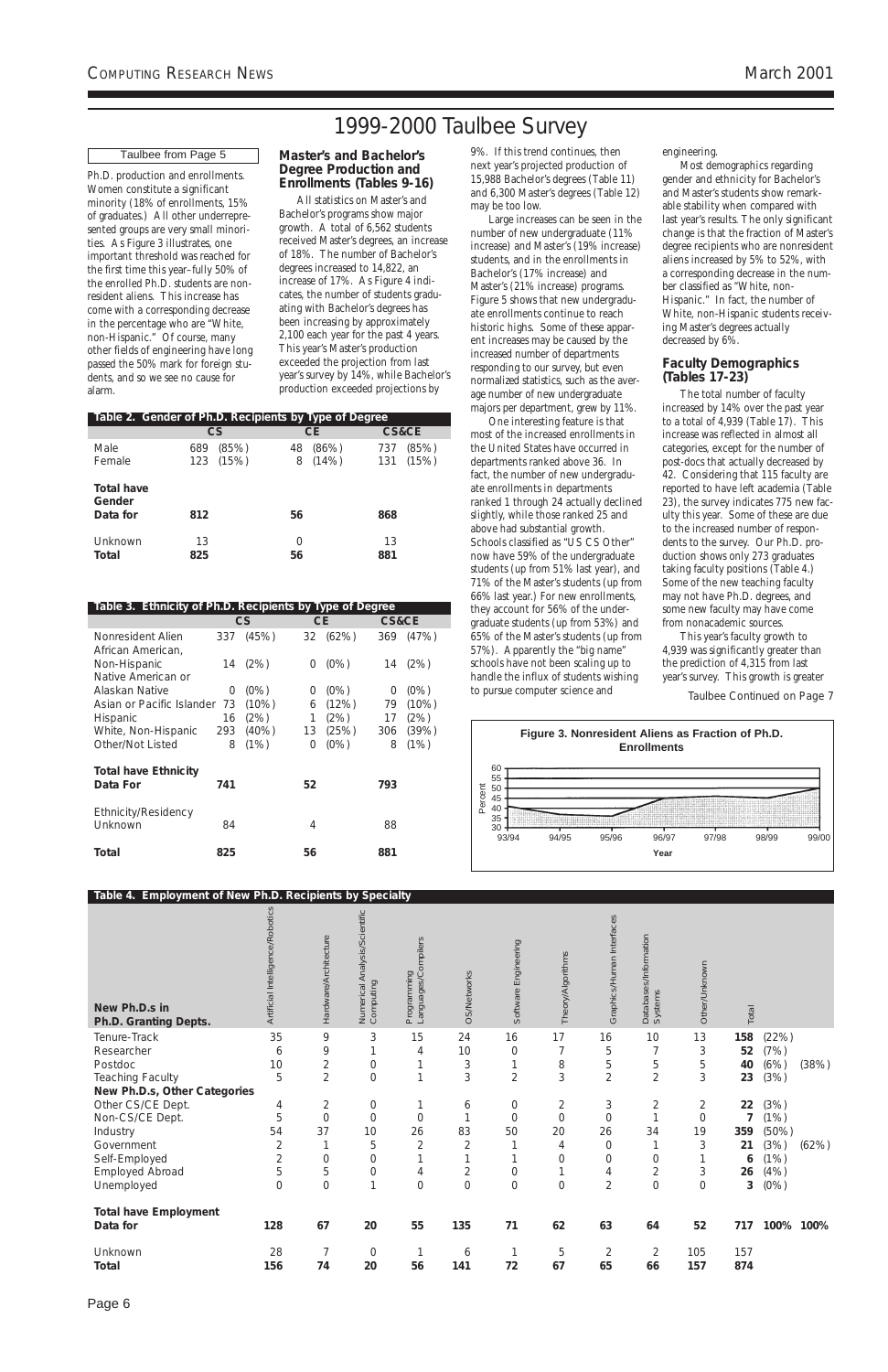Page 6

Ph.D. production and enrollments. Women constitute a significant minority (18% of enrollments, 15% of graduates.) All other underrepresented groups are very small minorities. As Figure 3 illustrates, one important threshold was reached for the first time this year–fully 50% of the enrolled Ph.D. students are nonresident aliens. This increase has come with a corresponding decrease in the percentage who are "White, non-Hispanic." Of course, many other fields of engineering have long passed the 50% mark for foreign students, and so we see no cause for alarm.

#### **Master's and Bachelor's Degree Production and Enrollments** *(Tables 9-16)*

All statistics on Master's and Bachelor's programs show major growth. A total of 6,562 students received Master's degrees, an increase of 18%. The number of Bachelor's degrees increased to 14,822, an increase of 17%. As Figure 4 indicates, the number of students graduating with Bachelor's degrees has been increasing by approximately 2,100 each year for the past 4 years. This year's Master's production exceeded the projection from last year's survey by 14%, while Bachelor's production exceeded projections by

next year's projected production of 15,988 Bachelor's degrees (Table 11) and 6,300 Master's degrees (Table 12) may be too low.

Large increases can be seen in the number of new undergraduate (11% increase) and Master's (19% increase) students, and in the enrollments in Bachelor's (17% increase) and Master's (21% increase) programs. Figure 5 shows that new undergraduate enrollments continue to reach historic highs. Some of these apparent increases may be caused by the increased number of departments responding to our survey, but even normalized statistics, such as the average number of new undergraduate majors per department, grew by 11%.

One interesting feature is that most of the increased enrollments in the United States have occurred in departments ranked above 36. In fact, the number of new undergraduate enrollments in departments ranked 1 through 24 actually declined slightly, while those ranked 25 and above had substantial growth. Schools classified as "US CS Other" now have 59% of the undergraduate students (up from 51% last year), and 71% of the Master's students (up from 66% last year.) For new enrollments, they account for 56% of the undergraduate students (up from 53%) and 65% of the Master's students (up from 57%). Apparently the "big name" schools have not been scaling up to handle the influx of students wishing to pursue computer science and

engineering.

Most demographics regarding gender and ethnicity for Bachelor's and Master's students show remarkable stability when compared with last year's results. The only significant change is that the fraction of Master's degree recipients who are nonresident aliens increased by 5% to 52%, with a corresponding decrease in the number classified as "White, non-Hispanic." In fact, the number of White, non-Hispanic students receiving Master's degrees actually decreased by 6%.

#### **Faculty Demographics** *(Tables 17-23)*

9%. If this trend continues, then 1999-2000 Taulbee Survey

> The total number of faculty increased by 14% over the past year to a total of 4,939 (Table 17). This increase was reflected in almost all categories, except for the number of post-docs that actually decreased by 42. Considering that 115 faculty are reported to have left academia (Table 23), the survey indicates 775 new faculty this year. Some of these are due to the increased number of respondents to the survey. Our Ph.D. production shows only 273 graduates taking faculty positions (Table 4.) Some of the new teaching faculty may not have Ph.D. degrees, and some new faculty may have come from nonacademic sources.

This year's faculty growth to 4,939 was significantly greater than the prediction of 4,315 from last year's survey. This growth is greater

|                                         | Table 2. Gender of Ph.D. Recipients by Type of Degree |                           |                              |
|-----------------------------------------|-------------------------------------------------------|---------------------------|------------------------------|
|                                         | CS                                                    | CE.                       | <b>CS&amp;CE</b>             |
| Male<br>Female                          | (85%)<br>689<br>123 (15%)                             | (86%)<br>48<br>(14%)<br>8 | (85%)<br>737<br>(15%)<br>131 |
| <b>Total have</b><br>Gender<br>Data for | 812                                                   | 56                        | 868                          |
|                                         |                                                       |                           |                              |
| Unknown<br>Total                        | 13<br>825                                             | 0<br>56                   | 13<br>881                    |

| Table 3. Ethnicity of Ph.D. Recipients by Type of Degree |     |          |                  |         |       |         |
|----------------------------------------------------------|-----|----------|------------------|---------|-------|---------|
|                                                          |     | CS       |                  | CE.     | CS&CE |         |
| Nonresident Alien                                        | 337 | (45%)    | 32               | (62%)   | 369   | (47%)   |
| African American,                                        |     |          |                  |         |       |         |
| Non-Hispanic                                             | 14  | (2%)     | $\left( \right)$ | $(0\%)$ | 14    | (2%)    |
| Native American or                                       |     |          |                  |         |       |         |
| Alaskan Native                                           | O   | $(0\%)$  | O                | $(0\%)$ | 0     | $(0\%)$ |
| Asian or Pacific Islander                                | 73  | (10%)    | 6                | (12%)   | 79    | (10%)   |
| <b>Hispanic</b>                                          | 16  | (2%)     | 1                | (2%)    | 17    | (2%)    |
| White, Non-Hispanic                                      | 293 | $(40\%)$ | 13               | (25%)   | 306   | (39%)   |
| Other/Not Listed                                         | 8   | (1%)     | 0                | $(0\%)$ | 8     | (1%)    |
|                                                          |     |          |                  |         |       |         |
| <b>Total have Ethnicity</b><br>Data For                  | 741 |          | 52               |         | 793   |         |
|                                                          |     |          |                  |         |       |         |
| <b>Ethnicity/Residency</b>                               |     |          |                  |         |       |         |
| Unknown                                                  | 84  |          | 4                |         | 88    |         |
|                                                          |     |          |                  |         |       |         |
| Total                                                    | 825 |          | 56               |         | 881   |         |

# **Table 4. Employment of New Ph.D. Recipients by Specialty New Ph.D.s in**

| New Ph.D.s in<br>Ph.D. Granting Depts. | Artificial Intelligence/Robotics | Hardware/Architecture | Numerical Analysis/Scientific<br>Computing | Languages/Compilers<br>Programming | <b>OS/Networks</b> | Engineering<br>Software | Theory/Algorithms | Graphics/Human Interfaces | Databases/Information<br>Systems | Other/Unknown | Total |       |       |
|----------------------------------------|----------------------------------|-----------------------|--------------------------------------------|------------------------------------|--------------------|-------------------------|-------------------|---------------------------|----------------------------------|---------------|-------|-------|-------|
| Tenure-Track                           | 35                               | 9                     | 3                                          | 15                                 | 24                 | 16                      | 17                | 16                        | 10                               | 13            | 158   | (22%) |       |
| Researcher                             | 6                                | 9                     | 1                                          | $\overline{4}$                     | 10                 | $\mathbf 0$             |                   | 5                         |                                  | 3             | 52    | (7%)  |       |
| Postdoc                                | 10                               | $\overline{2}$        | $\boldsymbol{0}$                           |                                    | $\sqrt{3}$         | 1                       | 8                 | 5                         | 5                                | 5             | 40    | (6%)  | (38%) |
| Teaching Faculty                       | 5                                | $\overline{2}$        | $\boldsymbol{0}$                           |                                    | 3                  | $\overline{2}$          | 3                 | $\overline{2}$            | $\overline{2}$                   | 3             | 23    | (3%)  |       |
| New Ph.D.s, Other Categories           |                                  |                       |                                            |                                    |                    |                         |                   |                           |                                  |               |       |       |       |
| Other CS/CE Dept.                      | 4                                | 2                     | $\boldsymbol{0}$                           |                                    | 6                  | $\boldsymbol{0}$        | 2                 | 3                         | 2                                | 2             | 22    | (3%)  |       |
| Non-CS/CE Dept.                        | 5                                | $\mathbf 0$           | $\mathbf 0$                                | $\mathbf 0$                        |                    | $\boldsymbol{0}$        | $\Omega$          | $\mathbf 0$               |                                  | $\mathbf 0$   |       | (1%)  |       |
| Industry                               | 54                               | 37                    | 10                                         | 26                                 | 83                 | 50                      | 20                | 26                        | 34                               | 19            | 359   | (50%) |       |
| Government                             | $\overline{2}$                   | 1                     | 5                                          | $\overline{2}$                     | $\overline{2}$     |                         | 4                 | 0                         |                                  | 3             | 21    | (3%)  | (62%) |
| Self-Employed                          | $\overline{2}$                   | $\mathbf 0$           | 0                                          |                                    |                    |                         | 0                 | 0                         | $\mathbf 0$                      |               | 6     | (1%)  |       |
| <b>Employed Abroad</b>                 | 5                                | 5                     | $\mathbf 0$                                | 4                                  | $\overline{2}$     | $\boldsymbol{0}$        |                   | 4                         | $\overline{2}$                   | 3             | 26    | (4% ) |       |
| Unemployed                             | $\Omega$                         | $\mathbf 0$           | $\mathbf{1}$                               | $\mathbf 0$                        | $\mathbf 0$        | $\mathbf 0$             | 0                 | $\overline{2}$            | $\mathbf 0$                      | $\mathbf 0$   | 3     | (0%)  |       |
| <b>Total have Employment</b>           |                                  |                       |                                            |                                    |                    |                         |                   |                           |                                  |               |       |       |       |
| Data for                               | 128                              | 67                    | 20                                         | 55                                 | 135                | 71                      | 62                | 63                        | 64                               | 52            | 717   | 100%  | 100%  |
| Unknown                                | 28                               |                       | $\mathbf 0$                                |                                    | 6                  |                         | 5                 | 2                         | $\overline{2}$                   | 105           | 157   |       |       |
| <b>Total</b>                           | 156                              | 74                    | 20                                         | 56                                 | 141                | 72                      | 67                | 65                        | 66                               | 157           | 874   |       |       |

#### Taulbee from Page 5

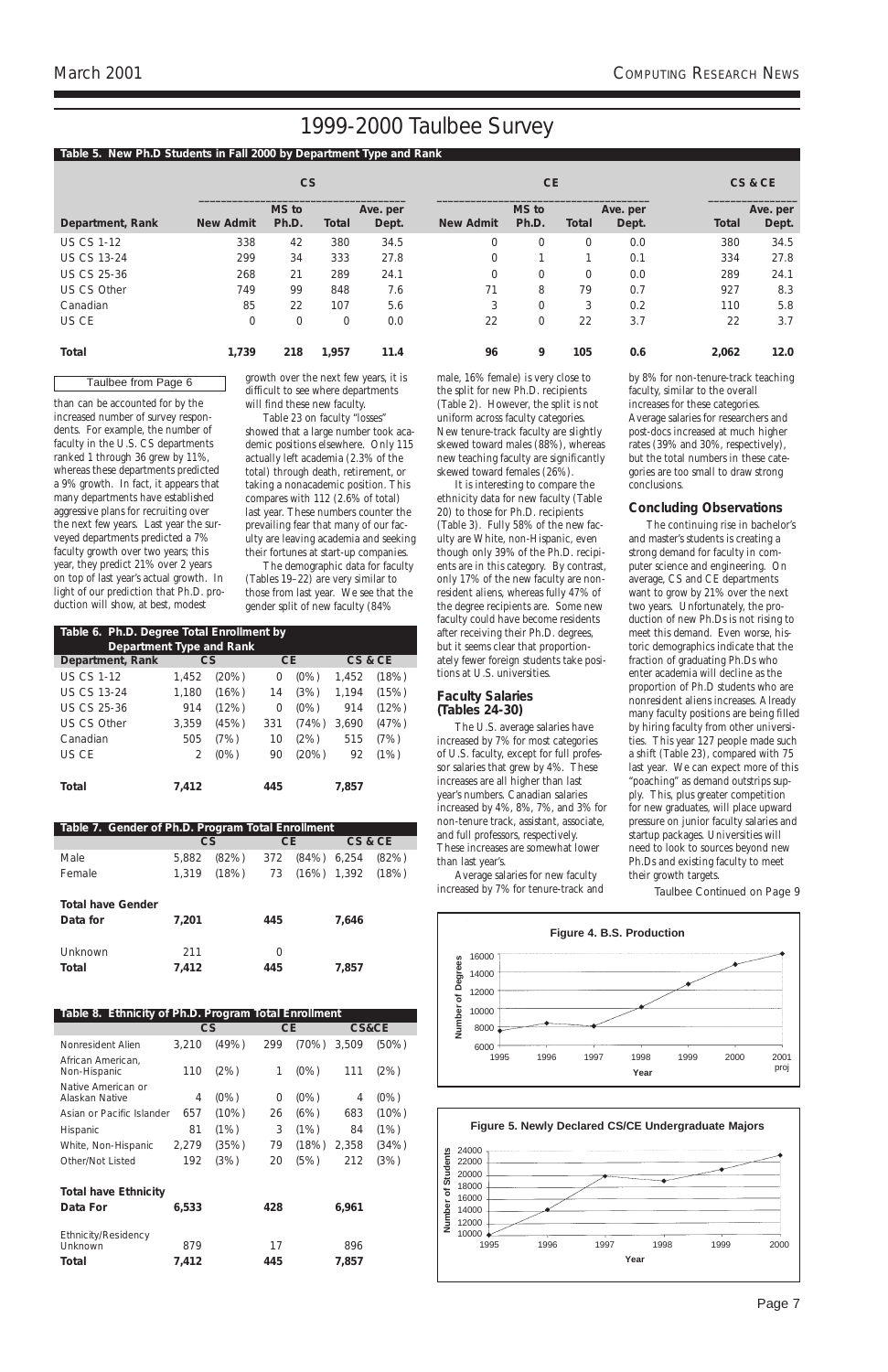Page 7

than can be accounted for by the increased number of survey respondents. For example, the number of faculty in the U.S. CS departments ranked 1 through 36 grew by 11%, whereas these departments predicted a 9% growth. In fact, it appears that many departments have established aggressive plans for recruiting over the next few years. Last year the surveyed departments predicted a 7% faculty growth over two years; this year, they predict 21% over 2 years on top of last year's actual growth. In light of our prediction that Ph.D. production will show, at best, modest

growth over the next few years, it is difficult to see where departments

will find these new faculty. Table 23 on faculty "losses"

showed that a large number took academic positions elsewhere. Only 115 actually left academia (2.3% of the total) through death, retirement, or taking a nonacademic position. This compares with 112 (2.6% of total) last year. These numbers counter the prevailing fear that many of our faculty are leaving academia and seeking their fortunes at start-up companies.

The demographic data for faculty (Tables 19–22) are very similar to those from last year. We see that the gender split of new faculty (84%

male, 16% female) is very close to the split for new Ph.D. recipients (Table 2). However, the split is not uniform across faculty categories. New tenure-track faculty are slightly skewed toward males (88%), whereas new teaching faculty are significantly skewed toward females (26%).

It is interesting to compare the ethnicity data for new faculty (Table 20) to those for Ph.D. recipients (Table 3). Fully 58% of the new faculty are White, non-Hispanic, even though only 39% of the Ph.D. recipients are in this category. By contrast, only 17% of the new faculty are nonresident aliens, whereas fully 47% of the degree recipients are. Some new faculty could have become residents after receiving their Ph.D. degrees, but it seems clear that proportionately fewer foreign students take positions at U.S. universities.

#### **Faculty Salaries**  *(Tables 24-30)*

The U.S. average salaries have increased by 7% for most categories of U.S. faculty, except for full professor salaries that grew by 4%. These increases are all higher than last year's numbers. Canadian salaries increased by 4%, 8%, 7%, and 3% for non-tenure track, assistant, associate, and full professors, respectively. These increases are somewhat lower than last year's.

Average salaries for new faculty increased by 7% for tenure-track and by 8% for non-tenure-track teaching faculty, similar to the overall increases for these categories. Average salaries for researchers and post-docs increased at much higher rates (39% and 30%, respectively), but the total numbers in these categories are too small to draw strong conclusions.

#### **Concluding Observations**

The continuing rise in bachelor's and master's students is creating a strong demand for faculty in computer science and engineering. On average, CS and CE departments want to grow by 21% over the next two years. Unfortunately, the production of new Ph.Ds is not rising to meet this demand. Even worse, historic demographics indicate that the fraction of graduating Ph.Ds who enter academia will decline as the proportion of Ph.D students who are nonresident aliens increases. Already many faculty positions are being filled by hiring faculty from other universities. This year 127 people made such a shift (Table 23), compared with 75 last year. We can expect more of this "poaching" as demand outstrips supply. This, plus greater competition for new graduates, will place upward pressure on junior faculty salaries and startup packages. Universities will need to look to sources beyond new Ph.Ds and existing faculty to meet their growth targets.

#### **Table 5. New Ph.D Students in Fall 2000 by Department Type and Rank**

|                    |                  | CS             |              |                   |                  |                | CS&CE |                   |              |                   |
|--------------------|------------------|----------------|--------------|-------------------|------------------|----------------|-------|-------------------|--------------|-------------------|
| Department, Rank   | <b>New Admit</b> | MS to<br>Ph.D. | <b>Total</b> | Ave. per<br>Dept. | <b>New Admit</b> | MS to<br>Ph.D. | Total | Ave. per<br>Dept. | <b>Total</b> | Ave. per<br>Dept. |
| <b>US CS 1-12</b>  | 338              | 42             | 380          | 34.5              | 0                |                | 0     | 0.0               | 380          | 34.5              |
| <b>US CS 13-24</b> | 299              | 34             | 333          | 27.8              | 0                |                |       | 0.1               | 334          | 27.8              |
| <b>US CS 25-36</b> | 268              | 21             | 289          | 24.1              | 0                |                | 0     | 0.0               | 289          | 24.1              |
| US CS Other        | 749              | 99             | 848          | 7.6               | 71               | 8              | 79    | 0.7               | 927          | 8.3               |
| Canadian           | 85               | 22             | 107          | 5.6               | 3                |                | 3     | 0.2               | 110          | 5.8               |
| US CE              | $\Omega$         | 0              | $\mathbf 0$  | 0.0               | 22               |                | 22    | 3.7               | 22           | 3.7               |
| Total              | 1,739            | 218            | 1,957        | 11.4              | 96               | 9              | 105   | 0.6               | 2,062        | 12.0              |

| Table 7. Gender of Ph.D. Program Total Enrollment |       |             |     |                      |       |         |
|---------------------------------------------------|-------|-------------|-----|----------------------|-------|---------|
|                                                   |       | CS          | CE. |                      |       | CS & CE |
| Male                                              | 5,882 | $(82%)$ 372 |     | $(84\%)$ 6,254       |       | (82%)   |
| Female                                            |       | 1,319 (18%) |     | 73 (16%) 1,392 (18%) |       |         |
|                                                   |       |             |     |                      |       |         |
| <b>Total have Gender</b>                          |       |             |     |                      |       |         |
| Data for                                          | 7,201 |             | 445 |                      | 7.646 |         |
|                                                   |       |             |     |                      |       |         |
| Unknown                                           | 211   |             | 0   |                      |       |         |
| Total                                             | 7,412 |             | 445 |                      | 7,857 |         |

| Table 6. Ph.D. Degree Total Enrollment by |       |          |           |         |       |         |
|-------------------------------------------|-------|----------|-----------|---------|-------|---------|
| <b>Department Type and Rank</b>           |       |          |           |         |       |         |
| Department, Rank                          | CS    |          | <b>CE</b> |         |       | CS & CE |
| <b>US CS 1-12</b>                         | 1,452 | $(20\%)$ | 0         | $(0\%)$ | 1,452 | (18%)   |
| <b>US CS 13-24</b>                        | 1,180 | (16%)    | 14        | (3%)    | 1,194 | (15%)   |
| <b>US CS 25-36</b>                        | 914   | (12%)    | 0         | $(0\%)$ | 914   | (12%)   |
| <b>US CS Other</b>                        | 3,359 | (45%)    | 331       | (74%)   | 3,690 | (47%)   |
| Canadian                                  | 505   | (7%)     | 10        | (2%)    | 515   | (7%)    |
| US CE                                     | 2     | $(0\%)$  | 90        | (20%)   | 92    | (1%)    |
|                                           |       |          |           |         |       |         |
| Total                                     | 7.412 |          | 445       |         | 7,857 |         |

| Table 8. Ethnicity of Ph.D. Program Total Enrollment |       |         |     |         |       |                  |
|------------------------------------------------------|-------|---------|-----|---------|-------|------------------|
|                                                      |       | CS      | CE. |         |       | <b>CS&amp;CE</b> |
| Nonresident Alien                                    | 3,210 | (49%)   | 299 | (70%)   | 3,509 | (50%)            |
| African American,<br>Non-Hispanic                    | 110   | (2%)    | 1   | $(0\%)$ | 111   | (2%)             |
| Native American or<br>Alaskan Native                 | 4     | $(0\%)$ | 0   | $(0\%)$ | 4     | $(0\%)$          |
| Asian or Pacific Islander                            | 657   | (10%)   | 26  | (6%)    | 683   | (10%)            |
| <b>Hispanic</b>                                      | 81    | (1%)    | 3   | (1%)    | 84    | (1%)             |
| White, Non-Hispanic                                  | 2,279 | (35%)   | 79  | (18%)   | 2,358 | (34%)            |
| Other/Not Listed                                     | 192   | (3%)    | 20  | (5%)    | 212   | (3%)             |
| <b>Total have Ethnicity</b>                          |       |         |     |         |       |                  |
| Data For                                             | 6,533 |         | 428 |         | 6,961 |                  |
| Ethnicity/Residency<br>Unknown                       | 879   |         | 17  |         | 896   |                  |
| Total                                                | 7,412 |         | 445 |         | 7,857 |                  |

#### Taulbee from Page 6



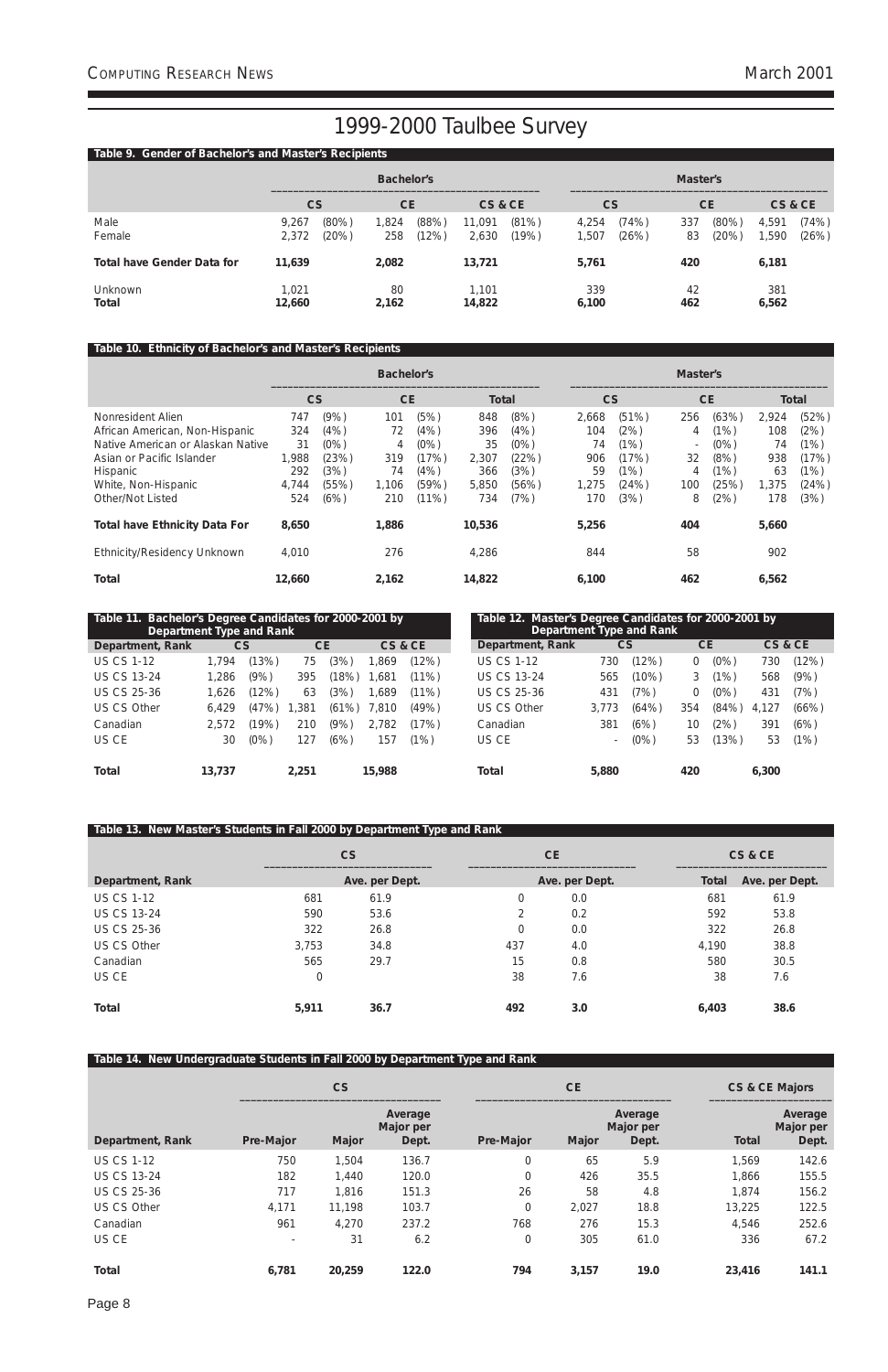Page 8

### **Table 9. Gender of Bachelor's and Master's Recipients**

|                            |                 |                   | <b>Bachelor's</b> |                |                 |                | Master's       |                |           |                   |               |                |  |
|----------------------------|-----------------|-------------------|-------------------|----------------|-----------------|----------------|----------------|----------------|-----------|-------------------|---------------|----------------|--|
|                            |                 | CS                |                   | <b>CE</b>      |                 | CS & CE        | <b>CS</b>      |                | <b>CE</b> |                   | CS&CE         |                |  |
| Male<br>Female             | 9.267<br>2,372  | $(80\%)$<br>(20%) | 1,824<br>258      | (88%)<br>(12%) | 11,091<br>2,630 | (81%)<br>(19%) | 4,254<br>1,507 | (74%)<br>(26%) | 337<br>83 | $(80\%)$<br>(20%) | 4,591<br>,590 | (74%)<br>(26%) |  |
| Total have Gender Data for | 11,639          |                   | 2,082             |                | 13,721          |                | 5,761          |                | 420       |                   | 6,181         |                |  |
| Unknown<br>Total           | 1,021<br>12,660 |                   | 80<br>2,162       |                | 1,101<br>14,822 |                | 339<br>6,100   |                | 42<br>462 |                   | 381<br>6,562  |                |  |

### **Table 10. Ethnicity of Bachelor's and Master's Recipients**

|                                      |        |         | <b>Bachelor's</b> |          |              |       | Master's  |       |                          |           |       |              |  |
|--------------------------------------|--------|---------|-------------------|----------|--------------|-------|-----------|-------|--------------------------|-----------|-------|--------------|--|
|                                      | CS     |         | <b>CE</b>         |          | <b>Total</b> |       | <b>CS</b> |       |                          | <b>CE</b> |       | <b>Total</b> |  |
| Nonresident Alien                    | 747    | (9% )   | (5%)<br>101       |          | 848          | (8%)  | 2.668     | (51%) | 256                      | (63%)     | 2,924 | (52%)        |  |
| African American, Non-Hispanic       | 324    | (4% )   | 72                | (4% )    | 396          | (4% ) | 104       | (2%)  | 4                        | (1%)      | 108   | (2%)         |  |
| Native American or Alaskan Native    | 31     | $(0\%)$ | 4                 | (0%)     | 35           | (0%)  | 74        | (1%)  | $\overline{\phantom{a}}$ | $(0\%)$   | 74    | (1%)         |  |
| Asian or Pacific Islander            | 1,988  | (23%)   | 319               | (17%)    | 2,307        | (22%) | 906       | (17%) | 32                       | (8%)      | 938   | (17%)        |  |
| <b>Hispanic</b>                      | 292    | (3%)    | 74                | (4% )    | 366          | (3%)  | 59        | (1%)  | 4                        | (1%)      | 63    | (1%)         |  |
| White, Non-Hispanic                  | 4,744  | (55%)   | 1.106             | (59%)    | 5,850        | (56%) | 1,275     | (24%) | 100                      | (25%)     | 1,375 | (24%)        |  |
| Other/Not Listed                     | 524    | (6%)    | 210               | $(11\%)$ | 734          | (7%)  | 170       | (3%)  | 8                        | (2%)      | 178   | (3%)         |  |
| <b>Total have Ethnicity Data For</b> | 8,650  |         | 1,886             |          | 10,536       |       | 5,256     |       | 404                      |           | 5,660 |              |  |
| Ethnicity/Residency Unknown          | 4,010  |         | 276               |          | 4,286        |       | 844       |       | 58                       |           | 902   |              |  |
| <b>Total</b>                         | 12,660 |         | 2,162             |          | 14,822       |       | 6,100     |       | 462                      |           | 6,562 |              |  |

### **Table 13. New Master's Students in Fall 2000 by Department Type and Rank**

|                    |              | CS             |            | <b>CE</b>      |                      | CS & CE        |
|--------------------|--------------|----------------|------------|----------------|----------------------|----------------|
| Department, Rank   |              | Ave. per Dept. |            | Ave. per Dept. | Total                | Ave. per Dept. |
| <b>US CS 1-12</b>  | 681          | 61.9           | $\Omega$   | 0.0            | 681                  | 61.9           |
| <b>US CS 13-24</b> | 590          | 53.6           |            | 0.2            | 592                  | 53.8           |
| <b>US CS 25-36</b> | 322          | 26.8           | 0          | 0.0            | 322                  | 26.8           |
| US CS Other        | 3,753        | 34.8           | 437        | 4.0            | 4,190                | 38.8           |
| Canadian           | 565          | 29.7           | 15         | 0.8            | 580                  | 30.5           |
| US CE              | 0            |                | 38         | 7.6            | 38                   | 7.6            |
| $T_{\alpha}$ tal   | <b>E-011</b> | <b>24.7</b>    | $\sqrt{2}$ | 20             | $\epsilon$ $\lambda$ | <b>20L</b>     |

| Table 11. Bachelor's Degree Candidates for 2000-2001 by<br>Department Type and Rank |        |         |           |       |         |       | Table 12. Master's Degree Candidates for 2000-2001 by<br>Department Type and Rank |                    |       |          |           |         |       |         |
|-------------------------------------------------------------------------------------|--------|---------|-----------|-------|---------|-------|-----------------------------------------------------------------------------------|--------------------|-------|----------|-----------|---------|-------|---------|
| Department, Rank                                                                    |        | CS      | <b>CE</b> |       | CS & CE |       |                                                                                   | Department, Rank   |       | CS       | <b>CE</b> |         |       | CS & CE |
| <b>US CS 1-12</b>                                                                   | 1.794  | $13\%$  | 75        | (3%)  | .869    | (12%) |                                                                                   | <b>US CS 1-12</b>  | 730   | (12%)    | 0         | $(0\%)$ | 730   | (12%)   |
| <b>US CS 13-24</b>                                                                  | 1,286  | (9%     | 395       | (18%) | .681    | (11%) |                                                                                   | <b>US CS 13-24</b> | 565   | $(10\%)$ |           | (1%)    | 568   | (9% )   |
| US CS 25-36                                                                         | 1.626  | 12%)    | 63        | (3%)  | ,689    | (11%) |                                                                                   | US CS 25-36        | 431   | (7%)     | 0         | $(0\%)$ | 431   | (7%)    |
| US CS Other                                                                         | 6.429  | (47%)   | ,381      | (61%) | .810    | (49%) |                                                                                   | US CS Other        | 3.773 | (64%)    | 354       | (84%)   | 4.127 | (66%)   |
| Canadian                                                                            | 2,572  | 19%)    | 210       | (9%)  | 2,782   | (17%) |                                                                                   | Canadian           | 381   | (6%)     | 10        | (2%)    | 391   | (6%)    |
| US CE                                                                               | 30     | $(0\%)$ | 127       | (6%)  | 157     | (1%)  |                                                                                   | US CE              | -     | $(0\%)$  | 53        | (13%)   | 53    | (1%)    |
| Total                                                                               | 13.737 |         | 2.251     |       | 15,988  |       |                                                                                   | Total              | 5,880 |          | 420       |         | 6.300 |         |

| Total | 5,911 | 36.7 | 492 | 3.0 | 6,403 | 38.6 |
|-------|-------|------|-----|-----|-------|------|
|       |       |      |     |     |       |      |

| Table 14. New Undergraduate Students in Fall 2000 by Department Type and Rank |                          |           |                               |                  |           |                               |              |                               |  |  |
|-------------------------------------------------------------------------------|--------------------------|-----------|-------------------------------|------------------|-----------|-------------------------------|--------------|-------------------------------|--|--|
|                                                                               |                          | <b>CS</b> |                               |                  | <b>CE</b> |                               |              | <b>CS &amp; CE Majors</b>     |  |  |
| Department, Rank                                                              | Pre-Major                | Major     | Average<br>Major per<br>Dept. | Pre-Major        | Major     | Average<br>Major per<br>Dept. | <b>Total</b> | Average<br>Major per<br>Dept. |  |  |
| <b>US CS 1-12</b>                                                             | 750                      | 1,504     | 136.7                         | 0                | 65        | 5.9                           | 1,569        | 142.6                         |  |  |
| <b>US CS 13-24</b>                                                            | 182                      | 1,440     | 120.0                         | $\overline{0}$   | 426       | 35.5                          | 1,866        | 155.5                         |  |  |
| <b>US CS 25-36</b>                                                            | 717                      | 1,816     | 151.3                         | 26               | 58        | 4.8                           | 1,874        | 156.2                         |  |  |
| <b>US CS Other</b>                                                            | 4,171                    | 11,198    | 103.7                         | $\overline{0}$   | 2,027     | 18.8                          | 13,225       | 122.5                         |  |  |
| Canadian                                                                      | 961                      | 4,270     | 237.2                         | 768              | 276       | 15.3                          | 4,546        | 252.6                         |  |  |
| US CE                                                                         | $\overline{\phantom{a}}$ | 31        | 6.2                           | $\boldsymbol{0}$ | 305       | 61.0                          | 336          | 67.2                          |  |  |
| <b>Total</b>                                                                  | 6,781                    | 20,259    | 122.0                         | 794              | 3,157     | 19.0                          | 23,416       | 141.1                         |  |  |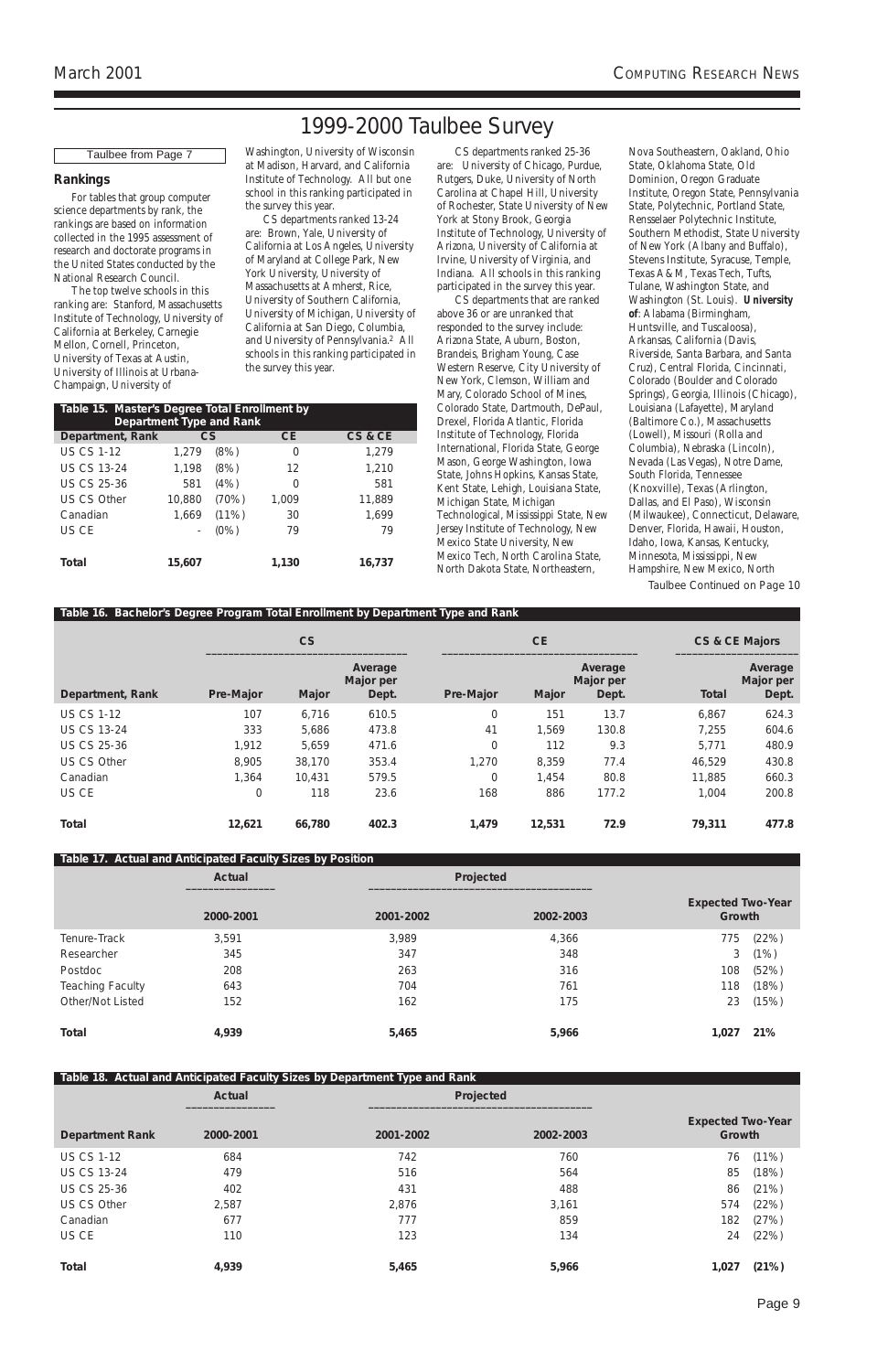Page 9

#### **Rankings**

For tables that group computer science departments by rank, the rankings are based on information collected in the 1995 assessment of research and doctorate programs in the United States conducted by the National Research Council.

The top twelve schools in this ranking are: Stanford, Massachusetts Institute of Technology, University of California at Berkeley, Carnegie Mellon, Cornell, Princeton, University of Texas at Austin, University of Illinois at Urbana-Champaign, University of

Washington, University of Wisconsin at Madison, Harvard, and California Institute of Technology. All but one school in this ranking participated in the survey this year.

CS departments ranked 13-24 are: Brown, Yale, University of California at Los Angeles, University of Maryland at College Park, New York University, University of Massachusetts at Amherst, Rice, University of Southern California, University of Michigan, University of California at San Diego, Columbia, and University of Pennsylvania.2 All schools in this ranking participated in the survey this year.

CS departments ranked 25-36 are: University of Chicago, Purdue, Rutgers, Duke, University of North Carolina at Chapel Hill, University of Rochester, State University of New York at Stony Brook, Georgia Institute of Technology, University of Arizona, University of California at Irvine, University of Virginia, and Indiana. All schools in this ranking participated in the survey this year.

CS departments that are ranked above 36 or are unranked that responded to the survey include: Arizona State, Auburn, Boston, Brandeis, Brigham Young, Case Western Reserve, City University of New York, Clemson, William and Mary, Colorado School of Mines, Colorado State, Dartmouth, DePaul, Drexel, Florida Atlantic, Florida Institute of Technology, Florida International, Florida State, George Mason, George Washington, Iowa State, Johns Hopkins, Kansas State, Kent State, Lehigh, Louisiana State, Michigan State, Michigan Technological, Mississippi State, New Jersey Institute of Technology, New Mexico State University, New Mexico Tech, North Carolina State, North Dakota State, Northeastern,

### **Table 17. Actual and Anticipated Faculty Sizes by Position Actual Projected \_\_\_\_\_\_\_\_\_\_\_\_\_\_\_\_ \_\_\_\_\_\_\_\_\_\_\_\_\_\_\_\_\_\_\_\_\_\_\_\_\_\_\_\_\_\_\_\_\_\_\_\_\_\_\_\_ Expected Two-Year 2000-2001 2001-2002 2002-2003 Growth** Tenure-Track 3,591 3,989 4,366 775 (22%) Researcher 345 347 348 3 (1%) Postdoc 208 263 316 108 (52%) Teaching Faculty 643 643 2001 118 (18%) 704 5 761 761 761 761 Other/Not Listed 152 162 162 162 175 23 (15%)

Nova Southeastern, Oakland, Ohio State, Oklahoma State, Old Dominion, Oregon Graduate Institute, Oregon State, Pennsylvania State, Polytechnic, Portland State, Rensselaer Polytechnic Institute, Southern Methodist, State University of New York (Albany and Buffalo), Stevens Institute, Syracuse, Temple, Texas A&M, Texas Tech, Tufts, Tulane, Washington State, and Washington (St. Louis). **University of**: Alabama (Birmingham, Huntsville, and Tuscaloosa), Arkansas, California (Davis, Riverside, Santa Barbara, and Santa Cruz), Central Florida, Cincinnati, Colorado (Boulder and Colorado Springs), Georgia, Illinois (Chicago), Louisiana (Lafayette), Maryland (Baltimore Co.), Massachusetts (Lowell), Missouri (Rolla and Columbia), Nebraska (Lincoln), Nevada (Las Vegas), Notre Dame, South Florida, Tennessee (Knoxville), Texas (Arlington, Dallas, and El Paso), Wisconsin (Milwaukee), Connecticut, Delaware, Denver, Florida, Hawaii, Houston, Idaho, Iowa, Kansas, Kentucky, Minnesota, Mississippi, New Hampshire, New Mexico, North

#### **Table 16. Bachelor's Degree Program Total Enrollment by Department Type and Rank**

|                    |           | CS     |                               |           | <b>CE</b> | CS & CE Majors                |              |                               |
|--------------------|-----------|--------|-------------------------------|-----------|-----------|-------------------------------|--------------|-------------------------------|
| Department, Rank   | Pre-Major | Major  | Average<br>Major per<br>Dept. | Pre-Major | Major     | Average<br>Major per<br>Dept. | <b>Total</b> | Average<br>Major per<br>Dept. |
| <b>US CS 1-12</b>  | 107       | 6,716  | 610.5                         | 0         | 151       | 13.7                          | 6,867        | 624.3                         |
| <b>US CS 13-24</b> | 333       | 5,686  | 473.8                         | 41        | 1,569     | 130.8                         | 7,255        | 604.6                         |
| <b>US CS 25-36</b> | 1,912     | 5,659  | 471.6                         | 0         | 112       | 9.3                           | 5,771        | 480.9                         |
| <b>US CS Other</b> | 8,905     | 38,170 | 353.4                         | 1,270     | 8,359     | 77.4                          | 46,529       | 430.8                         |
| Canadian           | 1,364     | 10,431 | 579.5                         | 0         | 1,454     | 80.8                          | 11,885       | 660.3                         |
| US CE              | 0         | 118    | 23.6                          | 168       | 886       | 177.2                         | 1,004        | 200.8                         |
| <b>Total</b>       | 12,621    | 66,780 | 402.3                         | 1,479     | 12,531    | 72.9                          | 79,311       | 477.8                         |

| Table 15. Master's Degree Total Enrollment by<br>Department Type and Rank |        |         |           |         |  |  |  |  |  |
|---------------------------------------------------------------------------|--------|---------|-----------|---------|--|--|--|--|--|
| Department, Rank                                                          | CS     |         | <b>CE</b> | CS & CE |  |  |  |  |  |
| <b>US CS 1-12</b>                                                         | 1.279  | (8%)    | 0         | 1.279   |  |  |  |  |  |
| <b>US CS 13-24</b>                                                        | 1,198  | (8%)    | 12        | 1,210   |  |  |  |  |  |
| US CS 25-36                                                               | 581    | (4% )   | 0         | 581     |  |  |  |  |  |
| US CS Other                                                               | 10,880 | (70%)   | 1,009     | 11,889  |  |  |  |  |  |
| Canadian                                                                  | 1,669  | (11%)   | 30        | 1,699   |  |  |  |  |  |
| US CE                                                                     |        | $(0\%)$ | 79        | 79      |  |  |  |  |  |
|                                                                           |        |         |           |         |  |  |  |  |  |
| Total                                                                     | 15,607 |         | 1,130     | 16,737  |  |  |  |  |  |

|                        |               | Table 18. Actual and Anticipated Faculty Sizes by Department Type and Rank |           |                                    |          |
|------------------------|---------------|----------------------------------------------------------------------------|-----------|------------------------------------|----------|
|                        | <b>Actual</b> |                                                                            | Projected |                                    |          |
| <b>Department Rank</b> | 2000-2001     | 2001-2002                                                                  | 2002-2003 | <b>Expected Two-Year</b><br>Growth |          |
| <b>US CS 1-12</b>      | 684           | 742                                                                        | 760       | 76                                 | $(11\%)$ |
| <b>US CS 13-24</b>     | 479           | 516                                                                        | 564       | 85                                 | (18%)    |
| <b>US CS 25-36</b>     | 402           | 431                                                                        | 488       | 86                                 | (21%)    |
| <b>US CS Other</b>     | 2,587         | 2,876                                                                      | 3,161     | 574                                | (22%)    |
| Canadian               | 677           | 777                                                                        | 859       | 182                                | (27%)    |
| US CE                  | 110           | 123                                                                        | 134       | 24                                 | (22%)    |
| <b>Total</b>           | 4,939         | 5,465                                                                      | 5,966     | 1,027                              | (21%)    |

#### Taulbee from Page 7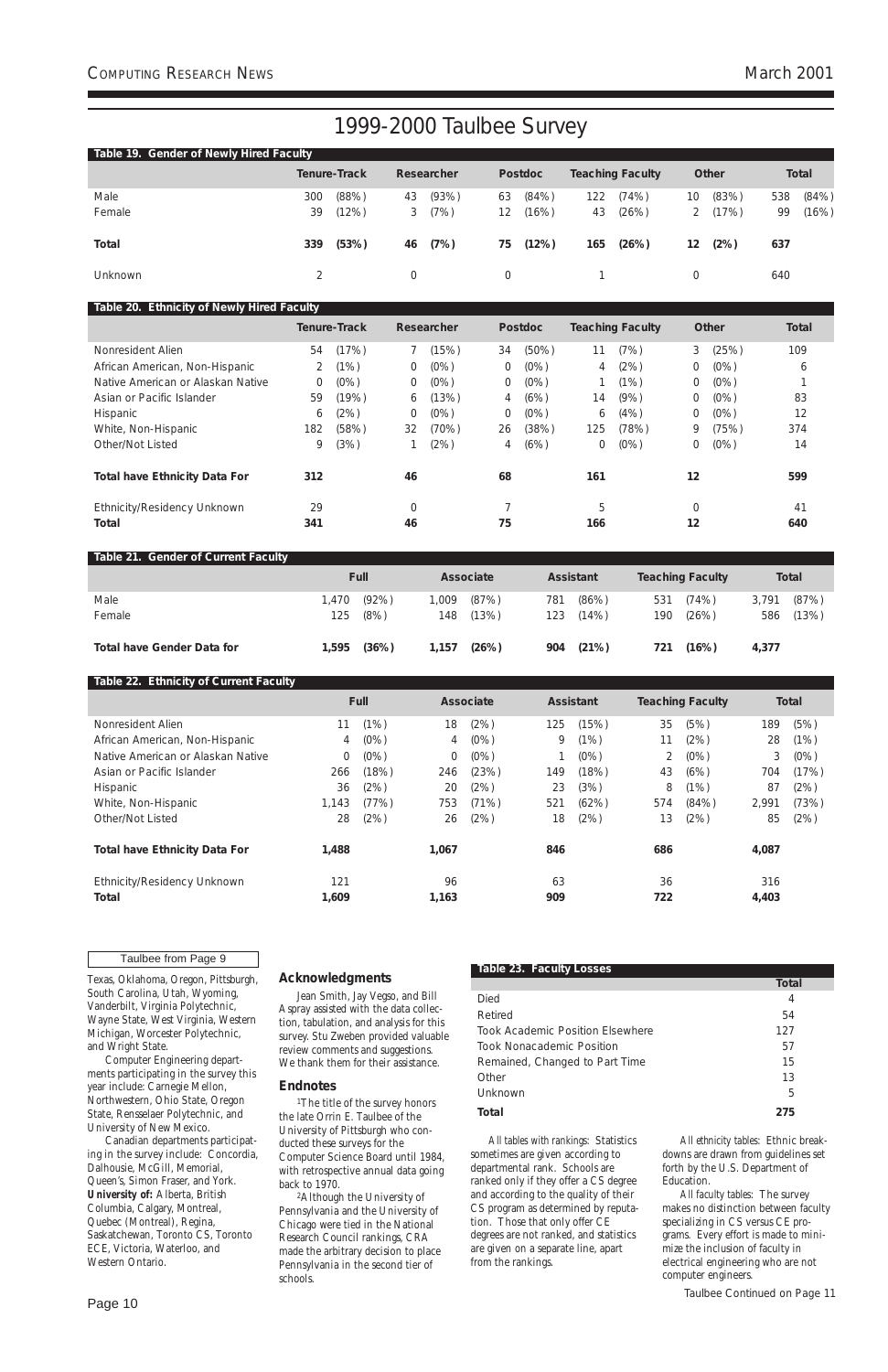Page 10

Texas, Oklahoma, Oregon, Pittsburgh, South Carolina, Utah, Wyoming, Vanderbilt, Virginia Polytechnic, Wayne State, West Virginia, Western Michigan, Worcester Polytechnic, and Wright State. Computer Engineering departments participating in the survey this year include: Carnegie Mellon, Northwestern, Ohio State, Oregon State, Rensselaer Polytechnic, and University of New Mexico. Canadian departments participating in the survey include: Concordia, Dalhousie, McGill, Memorial, Queen's, Simon Fraser, and York. **University of:** Alberta, British Columbia, Calgary, Montreal, Quebec (Montreal), Regina, Saskatchewan, Toronto CS, Toronto ECE, Victoria, Waterloo, and Western Ontario.

<sup>1</sup>The title of the survey honors the late Orrin E. Taulbee of the University of Pittsburgh who conducted these surveys for the Computer Science Board until 1984, with retrospective annual data going back to 1970.

#### **Acknowledgments**

Jean Smith, Jay Vegso, and Bill Aspray assisted with the data collection, tabulation, and analysis for this survey. Stu Zweben provided valuable review comments and suggestions. We thank them for their assistance.

### **Endnotes**

2Although the University of Pennsylvania and the University of Chicago were tied in the National Research Council rankings, CRA made the arbitrary decision to place Pennsylvania in the second tier of schools.

*All tables with rankings*: Statistics sometimes are given according to departmental rank. Schools are ranked only if they offer a CS degree and according to the quality of their CS program as determined by reputation. Those that only offer CE degrees are not ranked, and statistics are given on a separate line, apart from the rankings.

*All ethnicity tables*: Ethnic breakdowns are drawn from guidelines set forth by the U.S. Department of Education.

*All faculty tables*: The survey makes no distinction between faculty specializing in CS versus CE programs. Every effort is made to minimize the inclusion of faculty in electrical engineering who are not computer engineers.

| Table 19. Gender of Newly Hired Faculty |     |                     |    |            |    |                |     |                         |                 |              |     |              |
|-----------------------------------------|-----|---------------------|----|------------|----|----------------|-----|-------------------------|-----------------|--------------|-----|--------------|
|                                         |     | <b>Tenure-Track</b> |    | Researcher |    | <b>Postdoc</b> |     | <b>Teaching Faculty</b> |                 | <b>Other</b> |     | <b>Total</b> |
| Male                                    | 300 | (88%)               | 43 | (93%)      | 63 | (84%)          | 122 | (74%)                   | 10 <sup>°</sup> | (83%)        | 538 | (84%)        |
| Female                                  | 39  | (12%)               | 3  | (7%)       | 12 | (16%)          | 43  | (26%)                   |                 | (17%)        | 99  | (16%)        |
| <b>Total</b>                            | 339 | (53%)               | 46 | (7%)       | 75 | (12%)          | 165 | (26%)                   | 12              | (2%)         | 637 |              |
| <b>Unknown</b>                          |     |                     | 0  |            |    |                |     |                         |                 |              | 640 |              |

#### **Table 20. Ethnicity of Newly Hired Faculty**

|                                      |     | <b>Tenure-Track</b> |    | Researcher |                | <b>Postdoc</b> |     | <b>Teaching Faculty</b> |                | Other   | <b>Total</b> |
|--------------------------------------|-----|---------------------|----|------------|----------------|----------------|-----|-------------------------|----------------|---------|--------------|
| Nonresident Alien                    | 54  | (17%)               |    | (15%)      | 34             | $(50\%)$       | 11  | (7%)                    | 3              | (25%)   | 109          |
| African American, Non-Hispanic       |     | (1%)                | 0  | $(0\%)$    | 0              | $(0\%)$        | 4   | (2%)                    | 0              | (0%)    | b            |
| Native American or Alaskan Native    | 0   | $(0\%)$             | 0  | $(0\%)$    | 0              | (0%)           |     | (1%)                    | 0              | (0%)    |              |
| Asian or Pacific Islander            | 59  | (19%)               | 6  | (13%)      | 4              | (6%)           | 14  | (9% )                   | $\overline{0}$ | $(0\%)$ | 83           |
| Hispanic                             | 6   | (2%)                | 0  | $(0\%)$    | $\overline{0}$ | $(0\%)$        | 6   | (4%)                    | 0              | (0%)    | 12           |
| White, Non-Hispanic                  | 182 | (58%)               | 32 | (70%)      | 26             | (38%)          | 125 | (78%)                   | 9              | (75%)   | 374          |
| Other/Not Listed                     | 9   | (3%)                |    | (2%)       | 4              | (6%)           | 0   | (0%)                    | 0              | (0%)    | 14           |
| <b>Total have Ethnicity Data For</b> | 312 |                     | 46 |            | 68             |                | 161 |                         | 12             |         | 599          |
| Ethnicity/Residency Unknown          | 29  |                     | 0  |            |                |                | 5   |                         | $\Omega$       |         | 41           |
| <b>Total</b>                         | 341 |                     | 46 |            | 75             |                | 166 |                         | 12             |         | 640          |

#### **Table 21. Gender of Current Faculty**

|                                   | <b>Full</b> |          | <b>Associate</b> |       |     | <b>Assistant</b> |     | <b>Teaching Faculty</b> |       | <b>Total</b> |
|-----------------------------------|-------------|----------|------------------|-------|-----|------------------|-----|-------------------------|-------|--------------|
| Male                              | 1,470       | $(92\%)$ | .009             | (87%) | 781 | (86%)            | 531 | (74%)                   | 3,791 | (87%)        |
| Female                            | 125         | (8%)     | 148              | (13%) | 123 | (14%)            | 190 | (26%)                   | 586   | (13%)        |
| <b>Total have Gender Data for</b> | 1,595       | (36%)    | 1,157            | (26%) | 904 | (21%)            | 721 | (16%)                   | 4,377 |              |

## **Table 22. Ethnicity of Current Faculty**

|                                      |       | <b>Full</b> |       | Associate |     | <b>Assistant</b> |     | <b>Teaching Faculty</b> |       | <b>Total</b> |
|--------------------------------------|-------|-------------|-------|-----------|-----|------------------|-----|-------------------------|-------|--------------|
| Nonresident Alien                    | 11    | (1%)        | 18    | (2%)      | 125 | (15%)            | 35  | (5%)                    | 189   | (5%)         |
| African American, Non-Hispanic       | 4     | (0%)        | 4     | $(0\%)$   | 9   | (1%)             | 11  | (2%)                    | 28    | (1%)         |
| Native American or Alaskan Native    | 0     | $(0\%)$     | 0     | $(0\%)$   |     | (0%)             |     | (0%)                    | 3     | $(0\%)$      |
| Asian or Pacific Islander            | 266   | (18%)       | 246   | (23%)     | 149 | (18%)            | 43  | (6%)                    | 704   | (17%)        |
| Hispanic                             | 36    | (2%)        | 20    | (2%)      | 23  | (3%)             | 8   | (1%)                    | 87    | (2%)         |
| White, Non-Hispanic                  | 1,143 | (77%)       | 753   | (71%)     | 521 | (62%)            | 574 | (84% )                  | 2,991 | (73%)        |
| Other/Not Listed                     | 28    | (2%)        | 26    | (2%)      | 18  | (2%)             | 13  | (2%)                    | 85    | (2%)         |
| <b>Total have Ethnicity Data For</b> | 1,488 |             | 1,067 |           | 846 |                  | 686 |                         | 4,087 |              |
| Ethnicity/Residency Unknown          | 121   |             | 96    |           | 63  |                  | 36  |                         | 316   |              |
| Total                                | 1,609 |             | 1,163 |           | 909 |                  | 722 |                         | 4,403 |              |

#### **Table 23. Faculty Losses**

**Total** Died 4

| Retired                          | 54  |
|----------------------------------|-----|
| Took Academic Position Elsewhere | 127 |
| Took Nonacademic Position        | 57  |
| Remained, Changed to Part Time   | 15  |
| Other                            | 13  |
| Unknown                          | 5   |
| Total                            | 275 |

#### Taulbee from Page 9